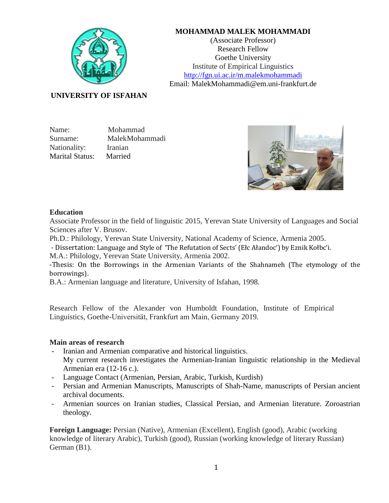

(Associate Professor) Research Fellow Goethe University Institute of Empirical Linguistics <http://fgn.ui.ac.ir/m.malekmohammadi> Email: MalekMohammadi@em.uni-frankfurt.de

# **UNIVERSITY OF ISFAHAN**

Name: Mohammad Surname: MalekMohammadi Nationality: Iranian Marital Status: Married



### **Education**

Associate Professor in the field of linguistic 2015, Yerevan State University of Languages and Social Sciences after V. Brusov.

Ph.D.: Philology, Yerevan State University, National Academy of Science, Armenia 2005.

- Dissertation: Language and Style of 'The Refutation of Sects' (Ełc Ałandoc') by Eznik Kołbc'i.

M.A.: Philology, Yerevan State University, Armenia 2002.

-Thesis: On the Borrowings in the Armenian Variants of the Shahnameh (The etymology of the borrowings).

B.A.: Armenian language and literature, University of Isfahan, 1998.

Research Fellow of the Alexander von Humboldt Foundation, Institute of Empirical Linguistics, Goethe-Universität, Frankfurt am Main, Germany 2019.

### **Main areas of research**

- Iranian and Armenian comparative and historical linguistics. My current research investigates the Armenian-Iranian linguistic relationship in the Medieval Armenian era (12-16 c.).
- Language Contact (Armenian, Persian, Arabic, Turkish, Kurdish)
- Persian and Armenian Manuscripts, Manuscripts of Shah-Name, manuscripts of Persian ancient archival documents.
- Armenian sources on Iranian studies, Classical Persian, and Armenian literature. Zoroastrian theology.

**Foreign Language:** Persian (Native), Armenian (Excellent), English (good), Arabic (working knowledge of literary Arabic), Turkish (good), Russian (working knowledge of literary Russian) German (B1).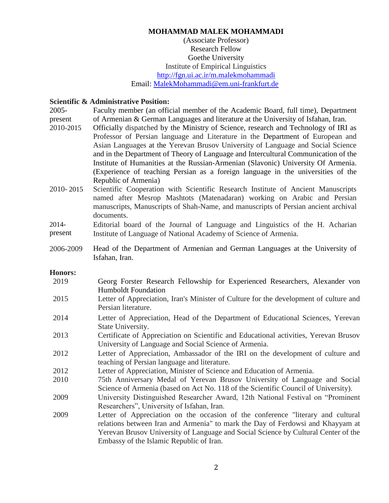## (Associate Professor) Research Fellow Goethe University Institute of Empirical Linguistics <http://fgn.ui.ac.ir/m.malekmohammadi> Email: [MalekMohammadi@em.uni-frankfurt.de](mailto:MalekMohammadi@em.uni-frankfurt.de)

#### **Scientific & Administrative Position:**

2005 present Faculty member (an official member of the Academic Board, full time), Department of Armenian & German Languages and literature at the University of Isfahan, Iran.

- 2010-2015 Officially dispatched by the Ministry of Science, research and Technology of IRI as Professor of Persian language and Literature in the Department of European and Asian Languages at the Yerevan Brusov University of Language and Social Science and in the Department of Theory of Language and Intercultural Communication of the Institute of Humanities at the Russian-Armenian (Slavonic) University Of Armenia. (Experience of teaching Persian as a foreign language in the universities of the Republic of Armenia)
- 2010- 2015 Scientific Cooperation with Scientific Research Institute of Ancient Manuscripts named after Mesrop Mashtots (Matenadaran) working on Arabic and Persian manuscripts, Manuscripts of Shah-Name, and manuscripts of Persian ancient archival documents.
- 2014 present Editorial board of the Journal of Language and Linguistics of the H. Acharian Institute of Language of National Academy of Science of Armenia.
- 2006-2009 Head of the Department of Armenian and German Languages at the University of Isfahan, Iran.
- **Honors:**
- 2019 Georg Forster Research Fellowship for Experienced Researchers, Alexander von Humboldt Foundation
- 2015 Letter of Appreciation, Iran's Minister of Culture for the development of culture and Persian literature.
- 2014 Letter of Appreciation, Head of the Department of Educational Sciences, Yerevan State University.
- 2013 Certificate of Appreciation on Scientific and Educational activities, Yerevan Brusov University of Language and Social Science of Armenia.
- 2012 Letter of Appreciation, Ambassador of the IRI on the development of culture and teaching of Persian language and literature.
- 2012 Letter of Appreciation, Minister of Science and Education of Armenia.
- 2010 75th Anniversary Medal of Yerevan Brusov University of Language and Social Science of Armenia (based on Act No. 118 of the Scientific Council of University).
- 2009 University Distinguished Researcher Award, 12th National Festival on "Prominent Researchers", University of Isfahan, Iran.
- 2009 Letter of Appreciation on the occasion of the conference "literary and cultural relations between Iran and Armenia" to mark the Day of Ferdowsi and Khayyam at Yerevan Brusov University of Language and Social Science by Cultural Center of the Embassy of the Islamic Republic of Iran.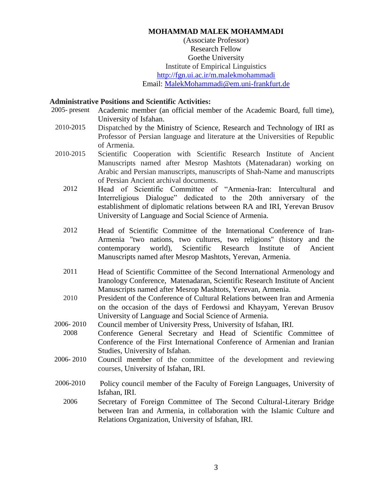## (Associate Professor) Research Fellow Goethe University Institute of Empirical Linguistics <http://fgn.ui.ac.ir/m.malekmohammadi> Email: [MalekMohammadi@em.uni-frankfurt.de](mailto:MalekMohammadi@em.uni-frankfurt.de)

#### **Administrative Positions and Scientific Activities:**

- 2005- present Academic member (an official member of the Academic Board, full time), University of Isfahan.
	- 2010-2015 Dispatched by the Ministry of Science, Research and Technology of IRI as Professor of Persian language and literature at the Universities of Republic of Armenia.
	- 2010-2015 Scientific Cooperation with Scientific Research Institute of Ancient Manuscripts named after Mesrop Mashtots (Matenadaran) working on Arabic and Persian manuscripts, manuscripts of Shah-Name and manuscripts of Persian Ancient archival documents.
		- 2012 Head of Scientific Committee of "Armenia-Iran: Intercultural and Interreligious Dialogue" dedicated to the 20th anniversary of the establishment of diplomatic relations between RA and IRI, Yerevan Brusov University of Language and Social Science of Armenia.
		- 2012 Head of Scientific Committee of the International Conference of Iran-Armenia "two nations, two cultures, two religions" (history and the contemporary world), Scientific Research Institute of Ancient Manuscripts named after Mesrop Mashtots, Yerevan, Armenia.
		- 2011 Head of Scientific Committee of the Second International Armenology and Iranology Conference, Matenadaran, Scientific Research Institute of Ancient Manuscripts named after Mesrop Mashtots, Yerevan, Armenia.
		- 2010 President of the Conference of Cultural Relations between Iran and Armenia on the occasion of the days of Ferdowsi and Khayyam, Yerevan Brusov University of Language and Social Science of Armenia.
- 2006- 2010 Council member of University Press, University of Isfahan, IRI.
- 2008 Conference General Secretary and Head of Scientific Committee of Conference of the First International Conference of Armenian and Iranian Studies, University of Isfahan.
- 2006- 2010 Council member of the committee of the development and reviewing courses, University of Isfahan, IRI.
- 2006-2010 Policy council member of the Faculty of Foreign Languages, University of Isfahan, IRI.
	- 2006 Secretary of Foreign Committee of The Second Cultural-Literary Bridge between Iran and Armenia, in collaboration with the Islamic Culture and Relations Organization, University of Isfahan, IRI.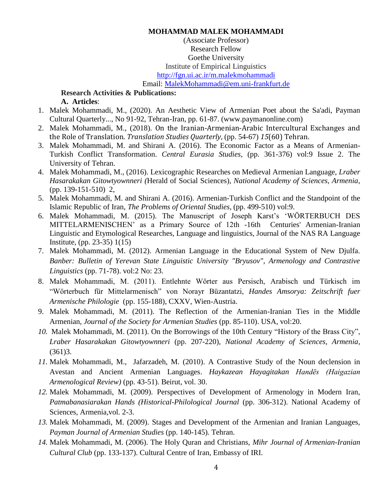# (Associate Professor) Research Fellow Goethe University Institute of Empirical Linguistics <http://fgn.ui.ac.ir/m.malekmohammadi>

Email: [MalekMohammadi@em.uni-frankfurt.de](mailto:MalekMohammadi@em.uni-frankfurt.de)

#### **Research Activities & Publications: A. Articles**:

- 1. Malek Mohammadi, M., (2020). An Aesthetic View of Armenian Poet about the Sa'adi, Payman Cultural Quarterly..., No 91-92, Tehran-Iran, pp. 61-87. (www.paymanonline.com)
- 2. Malek Mohammadi, M., (2018). On the Iranian-Armenian-Arabic Intercultural Exchanges and the Role of Translation. *Translation Studies Quarterly*, (pp. 54-67) *15*(60) Tehran.
- 3. Malek Mohammadi, M. and Shirani A. (2016). The Economic Factor as a Means of Armenian-Turkish Conflict Transformation. *Central Eurasia Studies*, (pp. 361-376) vol:9 Issue 2. The University of Tehran.
- 4. Malek Mohammadi, M., (2016). Lexicographic Researches on Medieval Armenian Language, *Lraber Hasarakakan Gitowtyownneri (*Herald of Social Sciences), *National Academy of Sciences, Armenia*, (pp. 139-151-510) 2,
- 5. Malek Mohammadi, M. and Shirani A. (2016). Armenian-Turkish Conflict and the Standpoint of the Islamic Republic of Iran, *The Problems of Oriental Studies,* (pp. 499-510) vol:9.
- 6. Malek Mohammadi, M. (2015). The Manuscript of Joseph Karst"s "WÖRTERBUCH DES MITTELARMENISCHEN" as a Primary Source of 12th -16th Centuries' Armenian-Iranian Linguistic and Etymological Researches, Language and linguistics, Journal of the NAS RA Language Institute, (pp. 23-35) 1(15)
- 7. Malek Mohammadi, M. (2012). Armenian Language in the Educational System of New Djulfa. *Banber: Bulletin of Yerevan State Linguistic University "Bryusov", Armenology and Contrastive Linguistics* (pp. 71-78). vol:2 No: 23.
- 8. Malek Mohammadi, M. (2011). Entlehnte Wörter aus Persisch, Arabisch und Türkisch im "Wörterbuch für Mittelarmenisch" von Norayr Büzantatzi, *Handes Amsorya: Zeitschrift fuer Armenische Philologie* (pp. 155-188), CXXV, Wien-Austria.
- 9. Malek Mohammadi, M. (2011). The Reflection of the Armenian-Iranian Ties in the Middle Armenian, *Journal of the Society for Armenian Studies* (pp. 85-110). USA, vol:20.
- *10.* Malek Mohammadi, M. (2011). On the Borrowings of the 10th Century "History of the Brass City", *Lraber Hasarakakan Gitowtyownneri* (pp. 207-220)*, National Academy of Sciences, Armenia*, (361)3.
- *11.* Malek Mohammadi, M., Jafarzadeh, M. (2010). A Contrastive Study of the Noun declension in Avestan and Ancient Armenian Languages. *Haykazean Hayagitakan Handēs (Haigazian Armenological Review)* (pp. 43-51). Beirut, vol. 30.
- *12.* Malek Mohammadi, M. (2009). Perspectives of Development of Armenology in Modern Iran, *Patmabanasiarakan Hands (Historical-Philological Journal* (pp. 306-312). National Academy of Sciences, Armenia,vol. 2-3.
- *13.* Malek Mohammadi, M. (2009). Stages and Development of the Armenian and Iranian Languages, *Payman Journal of Armenian Studies* (pp. 140-145)*.* Tehran.
- *14.* Malek Mohammadi, M. (2006). The Holy Quran and Christians, *Mihr Journal of Armenian-Iranian Cultural Club* (pp. 133-137). Cultural Centre of Iran, Embassy of IRI.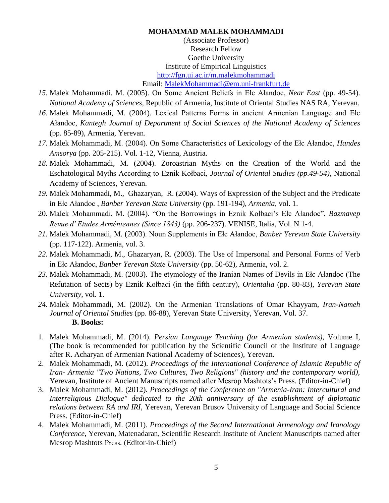(Associate Professor) Research Fellow Goethe University Institute of Empirical Linguistics <http://fgn.ui.ac.ir/m.malekmohammadi>

Email: [MalekMohammadi@em.uni-frankfurt.de](mailto:MalekMohammadi@em.uni-frankfurt.de)

- *15.* Malek Mohammadi, M. (2005). On Some Ancient Beliefs in Ełc Ałandoc, *Near East* (pp. 49-54). *National Academy of Sciences,* Republic of Armenia, Institute of Oriental Studies NAS RA, Yerevan.
- *16.* Malek Mohammadi, M. (2004). Lexical Patterns Forms in ancient Armenian Language and Ełc Ałandoc, *Kantegh Journal of Department of Social Sciences of the National Academy of Sciences*  (pp. 85-89), Armenia, Yerevan.
- *17.* Malek Mohammadi, M. (2004). On Some Characteristics of Lexicology of the Ełc Ałandoc, *Handes Amsorya* (pp. 205-215). Vol. 1-12, Vienna, Austria.
- *18.* Malek Mohammadi, M. (2004). Zoroastrian Myths on the Creation of the World and the Eschatological Myths According to Eznik Kołbaci, *Journal of Oriental Studies (pp.49-54)*, National Academy of Sciences, Yerevan.
- *19.* Malek Mohammadi, M., Ghazaryan, R. (2004). Ways of Expression of the Subject and the Predicate in Ełc Ałandoc , *Banber Yerevan State University* (pp. 191-194)*, Armenia*, vol. 1.
- 20. Malek Mohammadi, M. (2004). "On the Borrowings in Eznik Kołbaci"s Ełc Ałandoc", *Bazmavep Revue d' Etudes Arméniennes (Since 1843)* (pp. 206-237). VENISE, Italia, Vol. N 1-4.
- *21.* Malek Mohammadi, M. (2003). Noun Supplements in Ełc Ałandoc, *Banber Yerevan State University* (pp. 117-122). Armenia, vol. 3.
- *22.* Malek Mohammadi, M., Ghazaryan, R. (2003). The Use of Impersonal and Personal Forms of Verb in Ełc Ałandoc, *Banber Yerevan State University* (pp. 50-62)*,* Armenia, vol. 2.
- *23.* Malek Mohammadi, M. (2003). The etymology of the Iranian Names of Devils in Ełc Ałandoc (The Refutation of Sects) by Eznik Kołbaci (in the fifth century), *Orientalia* (pp. 80-83), *Yerevan State University*, vol. 1.
- *24.* Malek Mohammadi, M. (2002). On the Armenian Translations of Omar Khayyam, *Iran-Nameh Journal of Oriental Studies* (pp. 86-88), Yerevan State University, Yerevan, Vol. 37. **B. Books:**
- 1. Malek Mohammadi, M. (2014). *Persian Language Teaching (for Armenian students)*, Volume I, (The book is recommended for publication by the Scientific Council of the Institute of Language after R. Acharyan of Armenian National Academy of Sciences), Yerevan.
- 2. Malek Mohammadi, M. (2012). *Proceedings of the International Conference of Islamic Republic of Iran- Armenia "Two Nations, Two Cultures, Two Religions" (history and the contemporary world),* Yerevan, Institute of Ancient Manuscripts named after Mesrop Mashtots"s Press. (Editor-in-Chief)
- 3. Malek Mohammadi, M. (2012). *Proceedings of the Conference on "Armenia-Iran: Intercultural and Interreligious Dialogue" dedicated to the 20th anniversary of the establishment of diplomatic relations between RA and IRI*, Yerevan, Yerevan Brusov University of Language and Social Science Press. (Editor-in-Chief)
- 4. Malek Mohammadi, M. (2011). *Proceedings of the Second International Armenology and Iranology Conference*, Yerevan, Matenadaran, Scientific Research Institute of Ancient Manuscripts named after Mesrop Mashtots Press. (Editor-in-Chief)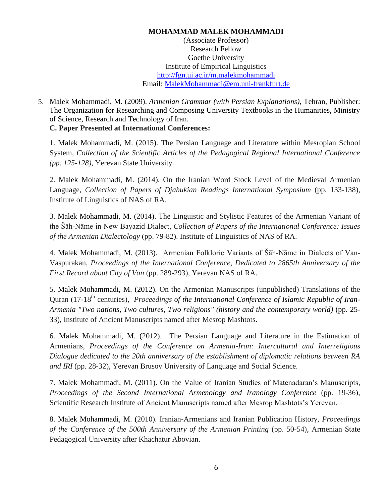# **MOHAMMAD MALEK MOHAMMADI** (Associate Professor) Research Fellow Goethe University Institute of Empirical Linguistics <http://fgn.ui.ac.ir/m.malekmohammadi> Email: [MalekMohammadi@em.uni-frankfurt.de](mailto:MalekMohammadi@em.uni-frankfurt.de)

5. Malek Mohammadi, M. (2009). *Armenian Grammar (with Persian Explanations)*, Tehran, Publisher: The Organization for Researching and Composing University Textbooks in the Humanities, Ministry of Science, Research and Technology of Iran. **C. Paper Presented at International Conferences:**

1. Malek Mohammadi, M. (2015). The Persian Language and Literature within Mesropian School System, *Collection of the Scientific Articles of the Pedagogical Regional International Conference (pp. 125-128)*, Yerevan State University.

2. Malek Mohammadi, M. (2014). On the Iranian Word Stock Level of the Medieval Armenian Language, *Collection of Papers of Djahukian Readings International Symposium* (pp. 133-138), Institute of Linguistics of NAS of RA.

3. Malek Mohammadi, M. (2014). The Linguistic and Stylistic Features of the Armenian Variant of the Šāh-Nāme in New Bayazid Dialect, *Collection of Papers of the International Conference: Issues of the Armenian Dialectology* (pp. 79-82). Institute of Linguistics of NAS of RA.

4. Malek Mohammadi, M. (2013). Armenian Folkloric Variants of Šāh-Nāme in Dialects of Van-Vaspurakan, *Proceedings of the International Conference, Dedicated to 2865th Anniversary of the First Record about City of Van* (pp. 289-293), Yerevan NAS of RA.

5. Malek Mohammadi, M. (2012). On the Armenian Manuscripts (unpublished) Translations of the Ouran (17-18<sup>th</sup> centuries), *Proceedings of the International Conference of Islamic Republic of Iran-Armenia "Two nations, Two cultures, Two religions" (history and the contemporary world)* (pp. 25- 33), Institute of Ancient Manuscripts named after Mesrop Mashtots.

6. Malek Mohammadi, M. (2012). The Persian Language and Literature in the Estimation of Armenians, *Proceedings of the Conference on Armenia-Iran: Intercultural and Interreligious Dialogue dedicated to the 20th anniversary of the establishment of diplomatic relations between RA and IRI* (pp. 28-32), Yerevan Brusov University of Language and Social Science.

7. Malek Mohammadi, M. (2011). On the Value of Iranian Studies of Matenadaran"s Manuscripts, *Proceedings of the Second International Armenology and Iranology Conference* (pp. 19-36), Scientific Research Institute of Ancient Manuscripts named after Mesrop Mashtots"s Yerevan.

8. Malek Mohammadi, M. (2010). Iranian-Armenians and Iranian Publication History, *Proceedings of the Conference of the 500th Anniversary of the Armenian Printing* (pp. 50-54), Armenian State Pedagogical University after Khachatur Abovian.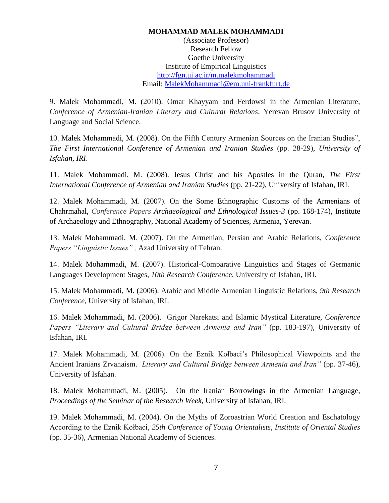# **MOHAMMAD MALEK MOHAMMADI** (Associate Professor) Research Fellow Goethe University Institute of Empirical Linguistics <http://fgn.ui.ac.ir/m.malekmohammadi> Email: [MalekMohammadi@em.uni-frankfurt.de](mailto:MalekMohammadi@em.uni-frankfurt.de)

9. Malek Mohammadi, M. (2010). Omar Khayyam and Ferdowsi in the Armenian Literature, *Conference of Armenian-Iranian Literary and Cultural Relations*, Yerevan Brusov University of Language and Social Science.

10. Malek Mohammadi, M. (2008). On the Fifth Century Armenian Sources on the Iranian Studies", *The First International Conference of Armenian and Iranian Studies* (pp. 28-29)*, University of Isfahan, IRI*.

11. Malek Mohammadi, M. (2008). Jesus Christ and his Apostles in the Quran, *The First International Conference of Armenian and Iranian Studies* (pp. 21-22), University of Isfahan, IRI.

12. Malek Mohammadi, M. (2007). On the Some Ethnographic Customs of the Armenians of Chahrmahal, *Conference Papers Archaeological and Ethnological Issues-3* (pp. 168-174), Institute of Archaeology and Ethnography, National Academy of Sciences, Armenia, Yerevan.

13. Malek Mohammadi, M. (2007). On the Armenian, Persian and Arabic Relations, *Conference Papers "Linguistic Issues" ,* Azad University of Tehran.

14. Malek Mohammadi, M. (2007). Historical-Comparative Linguistics and Stages of Germanic Languages Development Stages, *10th Research Conference*, University of Isfahan, IRI.

15. Malek Mohammadi, M. (2006). Arabic and Middle Armenian Linguistic Relations, *9th Research Conference*, University of Isfahan, IRI.

16. Malek Mohammadi, M. (2006). Grigor Narekatsi and Islamic Mystical Literature, *Conference Papers "Literary and Cultural Bridge between Armenia and Iran"* (pp. 183-197)*,* University of Isfahan, IRI.

17. Malek Mohammadi, M. (2006). On the Eznik Kołbaci"s Philosophical Viewpoints and the Ancient Iranians Zrvanaism. *Literary and Cultural Bridge between Armenia and Iran"* (pp. 37-46)*,* University of Isfahan.

18. Malek Mohammadi, M. (2005). On the Iranian Borrowings in the Armenian Language, *Proceedings of the Seminar of the Research Week*, University of Isfahan, IRI.

19. Malek Mohammadi, M. (2004). On the Myths of Zoroastrian World Creation and Eschatology According to the Eznik Kołbaci, *25th Conference of Young Orientalists, Institute of Oriental Studies*  (pp. 35-36), Armenian National Academy of Sciences.